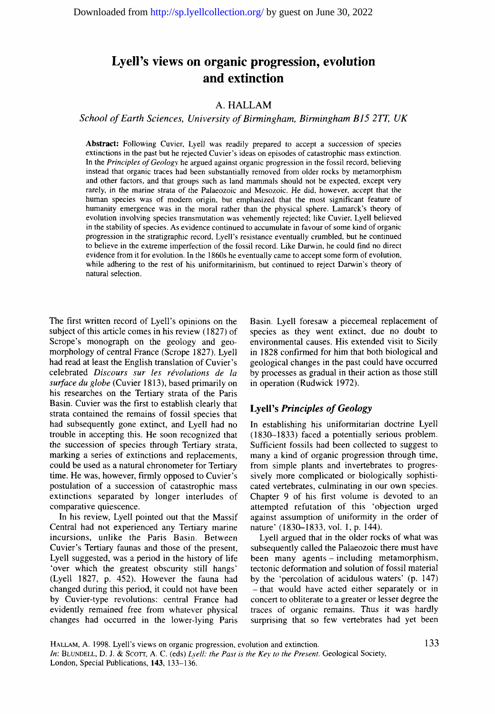# **Lyell's views on organic progression, evolution and extinction**

## A. HALLAM

*School of Earth Sciences, University of Birmingham, Birmingham B15 2TT, UK* 

**Abstract:** Following Cuvier, Lyell was readily prepared to accept a succession of species extinctions in the past but he rejected Cuvier's ideas on episodes of catastrophic mass extinction. In the *Principles of Geology* he argued against organic progression in the fossil record, believing instead that organic traces had been substantially removed from older rocks by metamorphism and other factors, and that groups such as land mammals should not be expected, except very rarely, in the marine strata of the Palaeozoic and Mesozoic. He did, however, accept that the human species was of modern origin, but emphasized that the most significant feature of humanity emergence was in the moral rather than the physical sphere. Lamarck's theory of evolution involving species transmutation was vehemently rejected; like Cuvier, Lyell believed in the stability of species. As evidence continued to accumulate in favour of some kind of organic progression in the stratigraphic record, Lyell's resistance eventually crumbled, but he continued to believe in the extreme imperfection of the fossil record. Like Darwin, he could find no direct evidence from it for evolution. In the 1860s he eventually came to accept some form of evolution, while adhering to the rest of his uniformitarinism, but continued to reject Darwin's theory of natural selection.

The first written record of Lyell's opinions on the subject of this article comes in his review (1827) of Scrope's monograph on the geology and geomorphology of central France (Scrope 1827). Lyell had read at least the English translation of Cuvier's celebrated *Discours sur les révolutions de la surface du globe* (Cuvier 1813), based primarily on his researches on the Tertiary strata of the Paris Basin. Cuvier was the first to establish clearly that strata contained the remains of fossil species that had subsequently gone extinct, and Lyell had no trouble in accepting this. He soon recognized that the succession of species through Tertiary strata, marking a series of extinctions and replacements, could be used as a natural chronometer for Tertiary time. He was, however, firmly opposed to Cuvier's postulation of a succession of catastrophic mass extinctions separated by longer interludes of comparative quiescence.

In his review, Lyell pointed out that the Massif Central had not experienced any Tertiary marine incursions, unlike the Paris Basin. Between Cuvier's Tertiary faunas and those of the present, Lyell suggested, was a period in the history of life 'over which the greatest obscurity still hangs' (Lyell 1827, p. 452). However the fauna had changed during this period, it could not have been by Cuvier-type revolutions: central France had evidently remained free from whatever physical changes had occurred in the lower-lying Paris Basin. Lyell foresaw a piecemeal replacement of species as they went extinct, due no doubt to environmental causes. His extended visit to Sicily in 1828 confirmed for him that both biological and geological changes in the past could have occurred by processes as gradual in their action as those still in operation (Rudwick 1972).

### Lyell's *Principles of Geology*

In establishing his uniformitarian doctrine Lyell (1830-1833) faced a potentially serious problem. Sufficient fossils had been collected to suggest to many a kind of organic progression through time, from simple plants and invertebrates to progressively more complicated or biologically sophisticated vertebrates, culminating in our own species. Chapter 9 of his first volume is devoted to an attempted refutation of this 'objection urged against assumption of uniformity in the order of nature' (1830-1833, vol. 1, p. 144).

Lyell argued that in the older rocks of what was subsequently called the Palaeozoic there must have been many agents-including metamorphism, tectonic deformation and solution of fossil material by the 'percolation of acidulous waters' (p. 147) **-that** would have acted either separately or in concert to obliterate to a greater or lesser degree the traces of organic remains. Thus it was hardly surprising that so few vertebrates had yet been

HALLAM, A. 1998. Lyell's views on organic progression, evolution and extinction. *In: BLUNDELL, D. J. & SCOTT, A. C. (eds) Lyell: the Past is the Key to the Present. Geological Society,* London, Special Publications, 143, 133-136.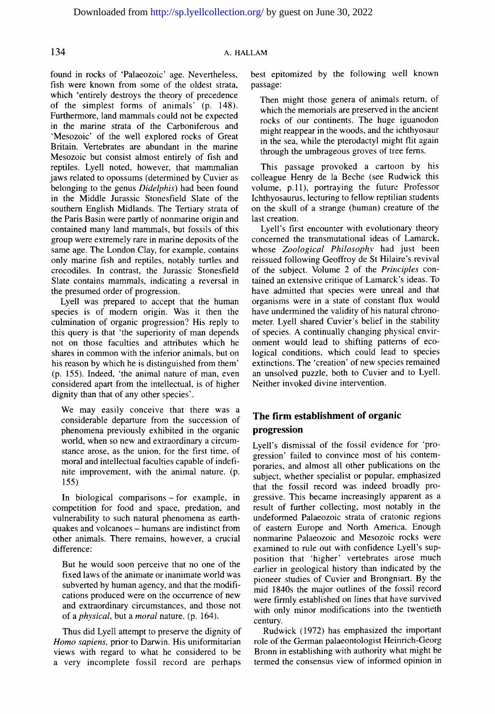### 134 A. HALLAM

found in rocks of 'Palaeozoic' age. Nevertheless, fish were known from some of the oldest strata, which 'entirely destroys the theory of precedence of the simplest forms of animals' (p. 148). Furthermore, land mammals could not be expected in the marine strata of the Carboniferous and 'Mesozoic' of the well explored rocks of Great Britain. Vertebrates are abundant in the marine Mesozoic but consist almost entirely of fish and reptiles. Lyell noted, however, that mammalian jaws related to opossums (determined by Cuvier as belonging to the genus *Didelphis)* had been found in the Middle Jurassic Stonesfield Slate of the southern English Midlands. The Tertiary strata of the Paris Basin were partly of nonmarine origin and contained many land mammals, but fossils of this group were extremely rare in marine deposits of the same age. The London Clay, for example, contains only marine fish and reptiles, notably turtles and crocodiles. In contrast, the Jurassic Stonesfield Slate contains mammals, indicating a reversal in the presumed order of progression.

Lyell was prepared to accept that the human species is of modern origin. Was it then the culmination of organic progression? His reply to this query is that 'the superiority of man depends not on those faculties and attributes which he shares in common with the inferior animals, but on his reason by which he is distinguished from them' (p. 155). Indeed, 'the animal nature of man, even considered apart from the intellectual, is of higher dignity than that of any other species'.

We may easily conceive that there was a considerable departure from the succession of phenomena previously exhibited in the organic world, when so new and extraordinary a circumstance arose, as the union, for the first time, of moral and intellectual faculties capable of indefinite improvement, with the animal nature. (p. 155)

In biological comparisons-for example, in competition for food and space, predation, and vulnerability to such natural phenomena as earthquakes and volcanoes - humans are indistinct from other animals. There remains, however, a crucial difference:

But he would soon perceive that no one of the fixed laws of the animate or inanimate world was subverted by human agency, and that the modifications produced were on the occurrence of new and extraordinary circumstances, and those not of a *physical,* but a *moral* nature. (p. 164).

Thus did Lyell attempt to preserve the dignity of *Homo sapiens,* prior to Darwin. His uniformitarian views with regard to what he considered to be a very incomplete fossil record are perhaps best epitomized by the following well known passage:

Then might those genera of animals return, of which the memorials are preserved in the ancient rocks of our continents. The huge iguanodon might reappear in the woods, and the ichthyosaur in the sea, while the pterodactyl might flit again through the umbrageous groves of tree ferns.

This passage provoked a cartoon by his colleague Henry de la Beche (see Rudwick this volume, p.ll), portraying the future Professor Ichthyosaurus, lecturing to fellow reptilian students on the skull of a strange (human) creature of the last creation.

Lyell's first encounter with evolutionary theory concerned the transmutational ideas of Lamarck, whose *Zoological Philosophy* had just been reissued following Geoffroy de St Hilaire's revival of the subject. Volume 2 of the *Principles* contained an extensive critique of Lamarck's ideas. To have admitted that species were unreal and that organisms were in a state of constant flux would have undermined the validity of his natural chronometer. Lyell shared Cuvier's belief in the stability of species. A continually changing physical environment would lead to shifting patterns of ecological conditions, which could lead to species extinctions. The 'creation' of new species remained an unsolved puzzle, both to Cuvier and to Lyell. Neither invoked divine intervention.

# **The firm establishment of organic progression**

Lyell's dismissal of the fossil evidence for 'progression' failed to convince most of his contemporaries, and almost all other publications on the subject, whether specialist or popular, emphasized that the fossil record was indeed broadly progressive. This became increasingly apparent as a result of further collecting, most notably in the undeformed Palaeozoic strata of cratonic regions of eastern Europe and North America. Enough nonmarine Palaeozoic and Mesozoic rocks were examined to rule out with confidence Lyell's supposition that 'higher' vertebrates arose much earlier in geological history than indicated by the pioneer studies of Cuvier and Brongniart. By the mid 1840s the major outlines of the fossil record were firmly established on lines that have survived with only minor modifications into the twentieth century.

Rudwick (1972) has emphasized the important role of the German palaeontologist Heinrich-Georg Bronn in establishing with authority what might be termed the consensus view of informed opinion in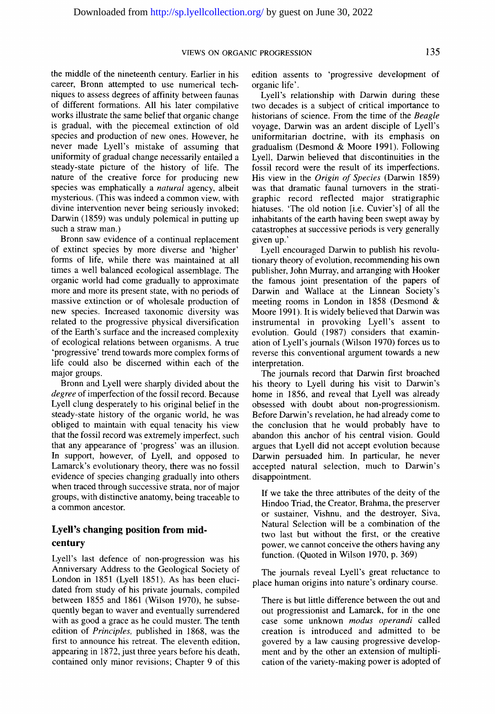the middle of the nineteenth century. Earlier in his career, Bronn attempted to use numerical techniques to assess degrees of affinity between faunas of different formations. All his later compilative works illustrate the same belief that organic change is gradual, with the piecemeal extinction of old species and production of new ones. However, he never made Lyell's mistake of assuming that uniformity of gradual change necessarily entailed a steady-state picture of the history of life. The nature of the creative force for producing new species was emphatically a *natural* agency, albeit mysterious. (This was indeed a common view, with divine intervention never being seriously invoked; Darwin (1859) was unduly polemical in putting up such a straw man.)

Bronn saw evidence of a continual replacement of extinct species by more diverse and 'higher' forms of life, while there was maintained at all times a well balanced ecological assemblage. The organic world had come gradually to approximate more and more its present state, with no periods of massive extinction or of wholesale production of new species. Increased taxonomic diversity was related to the progressive physical diversification of the Earth's surface and the increased complexity of ecological relations between organisms. A true 'progressive' trend towards more complex forms of life could also be discerned within each of the major groups.

Bronn and Lyell were sharply divided about the *degree* of imperfection of the fossil record. Because Lyell clung desperately to his original belief in the steady-state history of the organic world, he was obliged to maintain with equal tenacity his view that the fossil record was extremely imperfect, such that any appearance of 'progress' was an illusion. In support, however, of Lyell, and opposed to Lamarck's evolutionary theory, there was no fossil evidence of species changing gradually into others when traced through successive strata, nor of major groups, with distinctive anatomy, being traceable to a common ancestor.

## **Lyell's changing position from midcentury**

Lyell's last defence of non-progression was his Anniversary Address to the Geological Society of London in 1851 (Lyell 1851). As has been elucidated from study of his private journals, compiled between 1855 and 1861 (Wilson 1970), he subsequently began to waver and eventually surrendered with as good a grace as he could muster. The tenth edition of *Principles,* published in 1868, was the first to announce his retreat. The eleventh edition, appearing in 1872, just three years before his death, contained only minor revisions; Chapter 9 of this

edition assents to 'progressive development of organic life'.

Lyell's relationship with Darwin during these two decades is a subject of critical importance to historians of science. From the time of the *Beagle*  voyage, Darwin was an ardent disciple of Lyell's uniformitarian doctrine, with its emphasis on gradualism (Desmond & Moore 1991). Following Lyell, Darwin believed that discontinuities in the fossil record were the result of its imperfections. His view in the *Origin of Species* (Darwin 1859) was that dramatic faunal turnovers in the stratigraphic record reflected major stratigraphic hiatuses. 'The old notion [i.e. Cuvier's] of all the inhabitants of the earth having been swept away by catastrophes at successive periods is very generally given up.'

Lyell encouraged Darwin to publish his revolutionary theory of evolution, recommending his own publisher, John Murray, and arranging with Hooker the famous joint presentation of the papers of Darwin and Wallace at the Linnean Society's meeting rooms in London in 1858 (Desmond & Moore 1991). It is widely believed that Darwin was instrumental in provoking Lyell's assent to evolution. Gould (1987) considers that examination of Lyell's journals (Wilson 1970) forces us to reverse this conventional argument towards a new interpretation.

The journals record that Darwin first broached his theory to Lyell during his visit to Darwin's home in 1856, and reveal that Lyell was already obsessed with doubt about non-progressionism. Before Darwin's revelation, he had already come to the conclusion that he would probably have to abandon this anchor of his central vision. Gould argues that Lyell did not accept evolution because Darwin persuaded him. In particular, he never accepted natural selection, much to Darwin's disappointment.

If we take the three attributes of the deity of the Hindoo Triad, the Creator, Brahma, the preserver or sustainer, Vishnu, and the destroyer, Siva, Natural Selection will be a combination of the two last but without the first, or the creative power, we cannot conceive the others having any function. (Quoted in Wilson 1970, p. 369)

The journals reveal Lyell's great reluctance to place human origins into nature's ordinary course.

There is but little difference between the out and out progressionist and Lamarck, for in the one case some unknown *modus operandi* called creation is introduced and admitted to be govered by a law causing progressive development and by the other an extension of multiplication of the variety-making power is adopted of